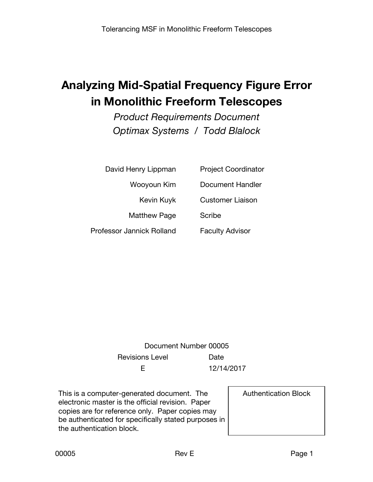# **Analyzing Mid-Spatial Frequency Figure Error in Monolithic Freeform Telescopes**

*Product Requirements Document Optimax Systems / Todd Blalock*

| David Henry Lippman       | <b>Project Coordinator</b> |
|---------------------------|----------------------------|
| Wooyoun Kim               | Document Handler           |
| Kevin Kuyk                | <b>Customer Liaison</b>    |
| <b>Matthew Page</b>       | Scribe                     |
| Professor Jannick Rolland | <b>Faculty Advisor</b>     |

Document Number 00005 Revisions Level **Date** E 12/14/2017

This is a computer-generated document. The electronic master is the official revision. Paper copies are for reference only. Paper copies may be authenticated for specifically stated purposes in the authentication block.

Authentication Block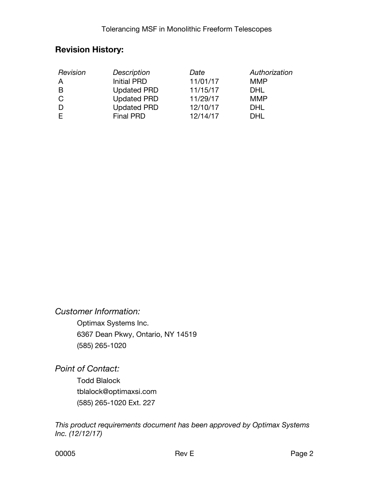### **Revision History:**

| Revision     | Description        | Date     | Authorization |
|--------------|--------------------|----------|---------------|
| $\mathsf{A}$ | <b>Initial PRD</b> | 11/01/17 | <b>MMP</b>    |
| B            | <b>Updated PRD</b> | 11/15/17 | <b>DHL</b>    |
| C            | <b>Updated PRD</b> | 11/29/17 | <b>MMP</b>    |
| D            | <b>Updated PRD</b> | 12/10/17 | DHL           |
|              | <b>Final PRD</b>   | 12/14/17 | DHI.          |

#### *Customer Information:*

Optimax Systems Inc. 6367 Dean Pkwy, Ontario, NY 14519 (585) 265-1020

*Point of Contact:*

Todd Blalock tblalock@optimaxsi.com (585) 265-1020 Ext. 227

*This product requirements document has been approved by Optimax Systems Inc. (12/12/17)*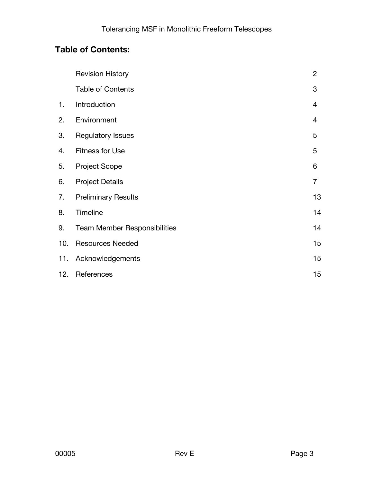## **Table of Contents:**

|     | <b>Revision History</b>             | $\overline{2}$ |
|-----|-------------------------------------|----------------|
|     | <b>Table of Contents</b>            | 3              |
| 1.  | Introduction                        | $\overline{4}$ |
| 2.  | Environment                         | $\overline{4}$ |
| 3.  | <b>Regulatory Issues</b>            | 5              |
| 4.  | <b>Fitness for Use</b>              | 5              |
| 5.  | <b>Project Scope</b>                | 6              |
| 6.  | <b>Project Details</b>              | $\overline{7}$ |
| 7.  | <b>Preliminary Results</b>          | 13             |
| 8.  | Timeline                            | 14             |
| 9.  | <b>Team Member Responsibilities</b> | 14             |
| 10. | <b>Resources Needed</b>             | 15             |
| 11. | Acknowledgements                    | 15             |
| 12. | References                          | 15             |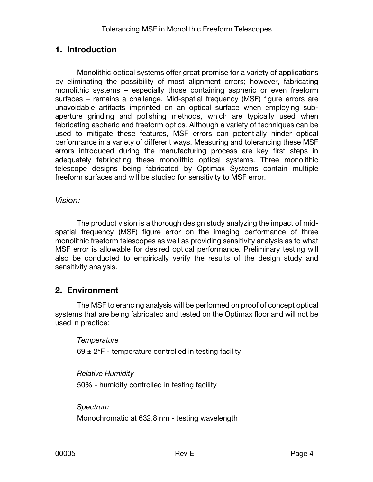#### **1. Introduction**

Monolithic optical systems offer great promise for a variety of applications by eliminating the possibility of most alignment errors; however, fabricating monolithic systems – especially those containing aspheric or even freeform surfaces – remains a challenge. Mid-spatial frequency (MSF) figure errors are unavoidable artifacts imprinted on an optical surface when employing subaperture grinding and polishing methods, which are typically used when fabricating aspheric and freeform optics. Although a variety of techniques can be used to mitigate these features, MSF errors can potentially hinder optical performance in a variety of different ways. Measuring and tolerancing these MSF errors introduced during the manufacturing process are key first steps in adequately fabricating these monolithic optical systems. Three monolithic telescope designs being fabricated by Optimax Systems contain multiple freeform surfaces and will be studied for sensitivity to MSF error.

#### *Vision:*

The product vision is a thorough design study analyzing the impact of midspatial frequency (MSF) figure error on the imaging performance of three monolithic freeform telescopes as well as providing sensitivity analysis as to what MSF error is allowable for desired optical performance. Preliminary testing will also be conducted to empirically verify the results of the design study and sensitivity analysis.

#### **2. Environment**

The MSF tolerancing analysis will be performed on proof of concept optical systems that are being fabricated and tested on the Optimax floor and will not be used in practice:

#### *Temperature*

69  $\pm$  2°F - temperature controlled in testing facility

#### *Relative Humidity*

50% - humidity controlled in testing facility

*Spectrum* Monochromatic at 632.8 nm - testing wavelength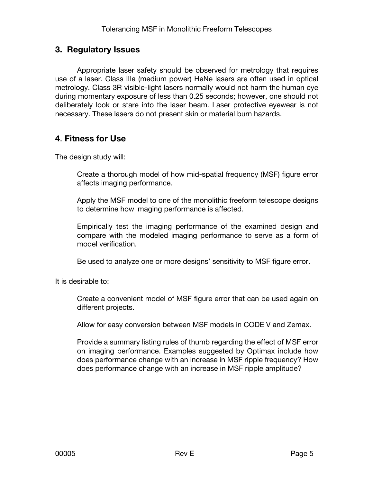#### **3. Regulatory Issues**

Appropriate laser safety should be observed for metrology that requires use of a laser. Class IIIa (medium power) HeNe lasers are often used in optical metrology. Class 3R visible-light lasers normally would not harm the human eye during momentary exposure of less than 0.25 seconds; however, one should not deliberately look or stare into the laser beam. Laser protective eyewear is not necessary. These lasers do not present skin or material burn hazards.

### **4**. **Fitness for Use**

The design study will:

Create a thorough model of how mid-spatial frequency (MSF) figure error affects imaging performance.

Apply the MSF model to one of the monolithic freeform telescope designs to determine how imaging performance is affected.

Empirically test the imaging performance of the examined design and compare with the modeled imaging performance to serve as a form of model verification.

Be used to analyze one or more designs' sensitivity to MSF figure error.

It is desirable to:

Create a convenient model of MSF figure error that can be used again on different projects.

Allow for easy conversion between MSF models in CODE V and Zemax.

Provide a summary listing rules of thumb regarding the effect of MSF error on imaging performance. Examples suggested by Optimax include how does performance change with an increase in MSF ripple frequency? How does performance change with an increase in MSF ripple amplitude?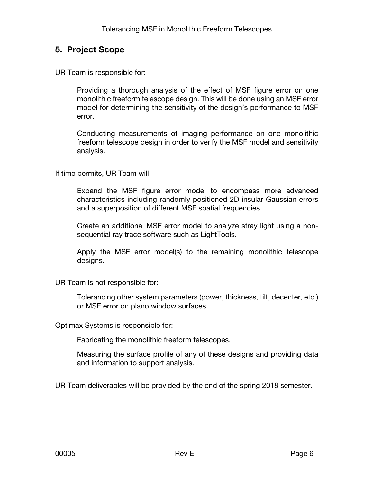#### **5. Project Scope**

UR Team is responsible for:

Providing a thorough analysis of the effect of MSF figure error on one monolithic freeform telescope design. This will be done using an MSF error model for determining the sensitivity of the design's performance to MSF error.

Conducting measurements of imaging performance on one monolithic freeform telescope design in order to verify the MSF model and sensitivity analysis.

If time permits, UR Team will:

Expand the MSF figure error model to encompass more advanced characteristics including randomly positioned 2D insular Gaussian errors and a superposition of different MSF spatial frequencies.

Create an additional MSF error model to analyze stray light using a nonsequential ray trace software such as LightTools.

Apply the MSF error model(s) to the remaining monolithic telescope designs.

UR Team is not responsible for:

Tolerancing other system parameters (power, thickness, tilt, decenter, etc.) or MSF error on plano window surfaces.

Optimax Systems is responsible for:

Fabricating the monolithic freeform telescopes.

Measuring the surface profile of any of these designs and providing data and information to support analysis.

UR Team deliverables will be provided by the end of the spring 2018 semester.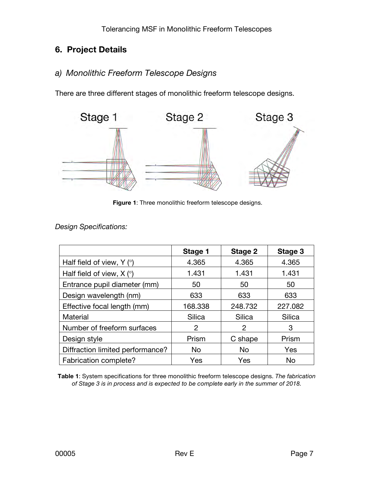## **6. Project Details**

### *a) Monolithic Freeform Telescope Designs*

There are three different stages of monolithic freeform telescope designs.



**Figure 1**: Three monolithic freeform telescope designs.

*Design Specifications:*

|                                       | Stage 1 | Stage 2   | Stage 3 |
|---------------------------------------|---------|-----------|---------|
| Half field of view, $Y$ ( $\degree$ ) | 4.365   | 4.365     | 4.365   |
| Half field of view, $X$ ( $\degree$ ) | 1.431   | 1.431     | 1.431   |
| Entrance pupil diameter (mm)          | 50      | 50        | 50      |
| Design wavelength (nm)                | 633     | 633       | 633     |
| Effective focal length (mm)           | 168.338 | 248.732   | 227.082 |
| Material                              | Silica  | Silica    | Silica  |
| Number of freeform surfaces           | 2       | 2         | 3       |
| Design style                          | Prism   | C shape   | Prism   |
| Diffraction limited performance?      | No.     | <b>No</b> | Yes     |
| Fabrication complete?                 | Yes     | Yes       | No      |

**Table 1**: System specifications for three monolithic freeform telescope designs. *The fabrication of Stage 3 is in process and is expected to be complete early in the summer of 2018.*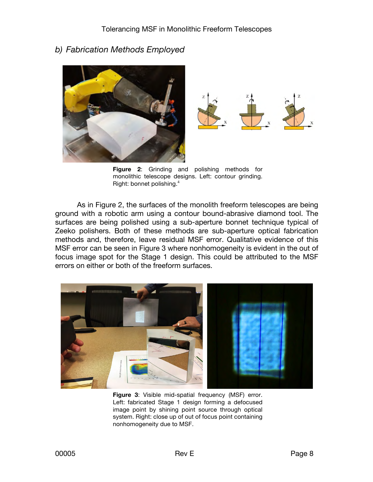#### *b) Fabrication Methods Employed*



**Figure 2**: Grinding and polishing methods for monolithic telescope designs. Left: contour grinding. Right: bonnet polishing.<sup>4</sup>

As in Figure 2, the surfaces of the monolith freeform telescopes are being ground with a robotic arm using a contour bound-abrasive diamond tool. The surfaces are being polished using a sub-aperture bonnet technique typical of Zeeko polishers. Both of these methods are sub-aperture optical fabrication methods and, therefore, leave residual MSF error. Qualitative evidence of this MSF error can be seen in Figure 3 where nonhomogeneity is evident in the out of focus image spot for the Stage 1 design. This could be attributed to the MSF errors on either or both of the freeform surfaces.



**Figure 3**: Visible mid-spatial frequency (MSF) error. Left: fabricated Stage 1 design forming a defocused image point by shining point source through optical system. Right: close up of out of focus point containing nonhomogeneity due to MSF.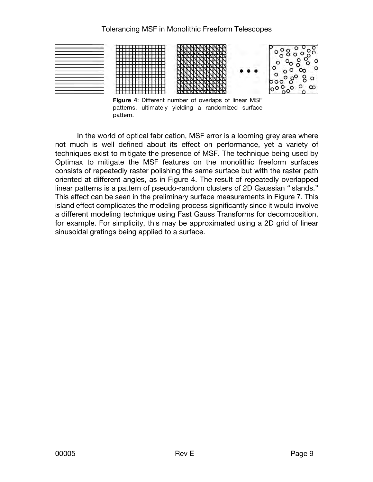

**Figure 4**: Different number of overlaps of linear MSF patterns, ultimately yielding a randomized surface pattern.

In the world of optical fabrication, MSF error is a looming grey area where not much is well defined about its effect on performance, yet a variety of techniques exist to mitigate the presence of MSF. The technique being used by Optimax to mitigate the MSF features on the monolithic freeform surfaces consists of repeatedly raster polishing the same surface but with the raster path oriented at different angles, as in Figure 4. The result of repeatedly overlapped linear patterns is a pattern of pseudo-random clusters of 2D Gaussian "islands." This effect can be seen in the preliminary surface measurements in Figure 7. This island effect complicates the modeling process significantly since it would involve a different modeling technique using Fast Gauss Transforms for decomposition, for example. For simplicity, this may be approximated using a 2D grid of linear sinusoidal gratings being applied to a surface.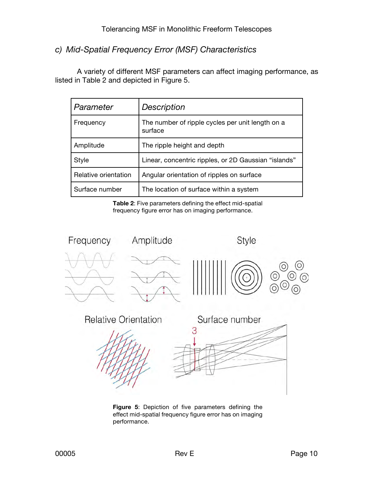### *c) Mid-Spatial Frequency Error (MSF) Characteristics*

A variety of different MSF parameters can affect imaging performance, as listed in Table 2 and depicted in Figure 5.

| Parameter            | <b>Description</b>                                          |
|----------------------|-------------------------------------------------------------|
| Frequency            | The number of ripple cycles per unit length on a<br>surface |
| Amplitude            | The ripple height and depth                                 |
| Style                | Linear, concentric ripples, or 2D Gaussian "islands"        |
| Relative orientation | Angular orientation of ripples on surface                   |
| Surface number       | The location of surface within a system                     |

**Table 2**: Five parameters defining the effect mid-spatial frequency figure error has on imaging performance.



**Figure 5**: Depiction of five parameters defining the effect mid-spatial frequency figure error has on imaging performance.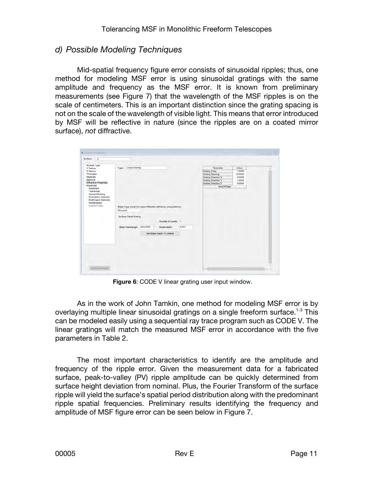#### *d) Possible Modeling Techniques*

Mid-spatial frequency figure error consists of sinusoidal ripples; thus, one method for modeling MSF error is using sinusoidal gratings with the same amplitude and frequency as the MSF error. It is known from preliminary measurements (see Figure 7) that the wavelength of the MSF ripples is on the scale of centimeters. This is an important distinction since the grating spacing is not on the scale of the wavelength of visible light. This means that error introduced by MSF will be reflective in nature (since the ripples are on a coated mirror surface), *not* diffractive.

|                                                                                                                                                                                                                                                                          | w.                                                                                 |                    |                                                                                                                                             |       |                                                                                                                                    |                                                          |  |
|--------------------------------------------------------------------------------------------------------------------------------------------------------------------------------------------------------------------------------------------------------------------------|------------------------------------------------------------------------------------|--------------------|---------------------------------------------------------------------------------------------------------------------------------------------|-------|------------------------------------------------------------------------------------------------------------------------------------|----------------------------------------------------------|--|
| Surface Type<br><b>Y</b> Radius<br>X Radius<br>Thickness<br><b>Materials</b><br>Aperture<br>Diffractive Properties<br>Advanced<br>Decenters<br>Tolerances<br>Cement/Coating<br>Polarization Operator<br><b>Birefringent Materials</b><br>Interferogram<br>Gradient Index | Linear Grating<br>Type:<br>Sinusoid<br>Surface Relief Grating<br>Blaze Wavelength: | $\sim$<br>633,0000 | ×<br>Blaze Type (Used for scalar diffraction efficiency computations):<br>Number of Levels: 2<br>Blaze Depth:<br>Set Blaze Depth To Default | 0.001 | Parameter.<br>Grating Order<br>Grating Spacing<br>Grating Direction X<br>Grating Direction Y<br>Grating Direction Z<br>End Of Data | Value<br>1.0000<br>10.0000<br>0.0000<br>1.0000<br>0.0000 |  |

**Figure 6**: CODE V linear grating user input window.

As in the work of John Tamkin, one method for modeling MSF error is by overlaying multiple linear sinusoidal gratings on a single freeform surface.<sup>1-3</sup> This can be modeled easily using a sequential ray trace program such as CODE V. The linear gratings will match the measured MSF error in accordance with the five parameters in Table 2.

The most important characteristics to identify are the amplitude and frequency of the ripple error. Given the measurement data for a fabricated surface, peak-to-valley (PV) ripple amplitude can be quickly determined from surface height deviation from nominal. Plus, the Fourier Transform of the surface ripple will yield the surface's spatial period distribution along with the predominant ripple spatial frequencies. Preliminary results identifying the frequency and amplitude of MSF figure error can be seen below in Figure 7.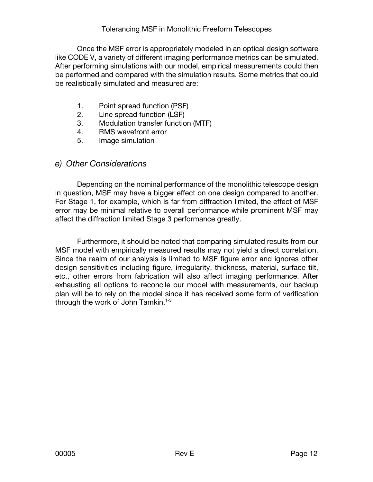#### Tolerancing MSF in Monolithic Freeform Telescopes

Once the MSF error is appropriately modeled in an optical design software like CODE V, a variety of different imaging performance metrics can be simulated. After performing simulations with our model, empirical measurements could then be performed and compared with the simulation results. Some metrics that could be realistically simulated and measured are:

- 1. Point spread function (PSF)
- 2. Line spread function (LSF)
- 3. Modulation transfer function (MTF)
- 4. RMS wavefront error
- 5. Image simulation

#### *e) Other Considerations*

Depending on the nominal performance of the monolithic telescope design in question, MSF may have a bigger effect on one design compared to another. For Stage 1, for example, which is far from diffraction limited, the effect of MSF error may be minimal relative to overall performance while prominent MSF may affect the diffraction limited Stage 3 performance greatly.

Furthermore, it should be noted that comparing simulated results from our MSF model with empirically measured results may not yield a direct correlation. Since the realm of our analysis is limited to MSF figure error and ignores other design sensitivities including figure, irregularity, thickness, material, surface tilt, etc., other errors from fabrication will also affect imaging performance. After exhausting all options to reconcile our model with measurements, our backup plan will be to rely on the model since it has received some form of verification through the work of John Tamkin.<sup>1-3</sup>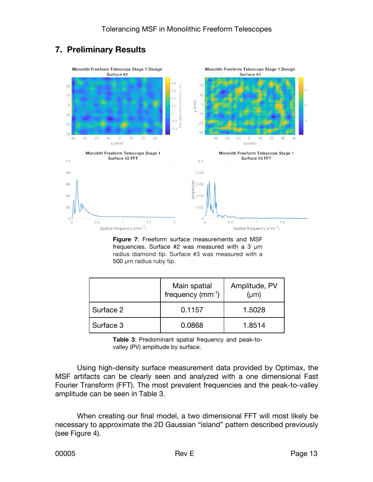## **7. Preliminary Results**



**Figure 7**: Freeform surface measurements and MSF frequencies. Surface #2 was measured with a 3 μm radius diamond tip. Surface #3 was measured with a 500 μm radius ruby tip.

|           | Main spatial<br>frequency $(mm^{-1})$ | Amplitude, PV<br>$(\mu m)$ |
|-----------|---------------------------------------|----------------------------|
| Surface 2 | 0.1157                                | 1.5028                     |
| Surface 3 | 0.0868                                | 1.8514                     |

**Table 3**: Predominant spatial frequency and peak-tovalley (PV) amplitude by surface.

Using high-density surface measurement data provided by Optimax, the MSF artifacts can be clearly seen and analyzed with a one dimensional Fast Fourier Transform (FFT). The most prevalent frequencies and the peak-to-valley amplitude can be seen in Table 3.

When creating our final model, a two dimensional FFT will most likely be necessary to approximate the 2D Gaussian "island" pattern described previously (see Figure 4).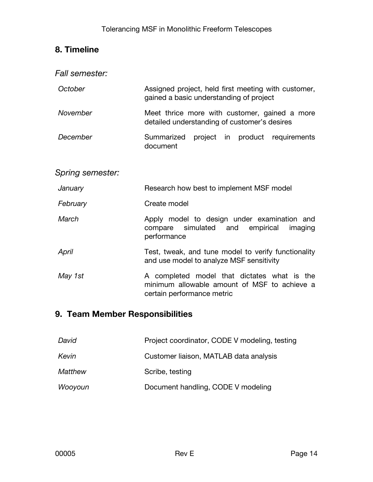## **8. Timeline**

| Fall semester:   |                                                                                                                           |
|------------------|---------------------------------------------------------------------------------------------------------------------------|
| October          | Assigned project, held first meeting with customer,<br>gained a basic understanding of project                            |
| November         | Meet thrice more with customer, gained a more<br>detailed understanding of customer's desires                             |
| December         | Summarized project in product requirements<br>document                                                                    |
|                  |                                                                                                                           |
| Spring semester: |                                                                                                                           |
| January          | Research how best to implement MSF model                                                                                  |
| February         | Create model                                                                                                              |
| March            | Apply model to design under examination and<br>simulated and empirical<br>compare<br>imaging<br>performance               |
| April            | Test, tweak, and tune model to verify functionality<br>and use model to analyze MSF sensitivity                           |
| May 1st          | A completed model that dictates what is the<br>minimum allowable amount of MSF to achieve a<br>certain performance metric |
|                  |                                                                                                                           |

## **9. Team Member Responsibilities**

| David   | Project coordinator, CODE V modeling, testing |
|---------|-----------------------------------------------|
| Kevin   | Customer liaison, MATLAB data analysis        |
| Matthew | Scribe, testing                               |
| Wooyoun | Document handling, CODE V modeling            |